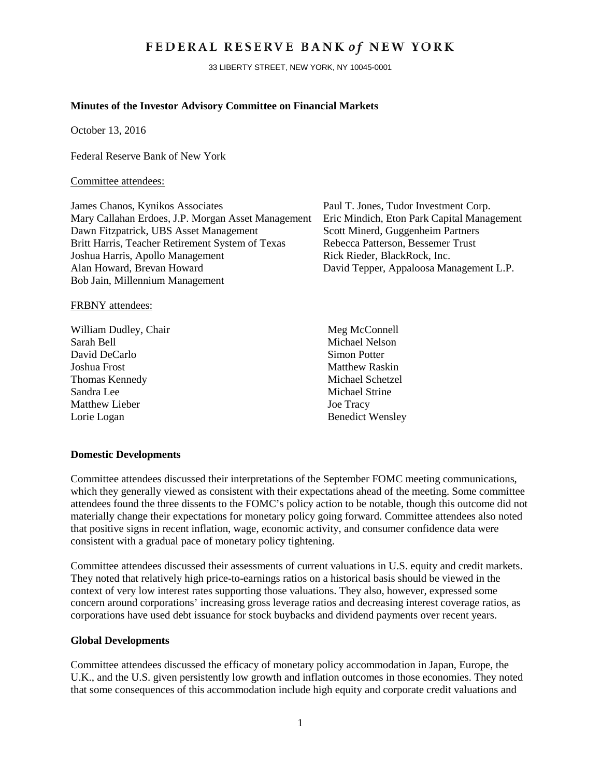# FEDERAL RESERVE BANK of NEW YORK

33 LIBERTY STREET, NEW YORK, NY 10045-0001

### **Minutes of the Investor Advisory Committee on Financial Markets**

October 13, 2016

Federal Reserve Bank of New York

#### Committee attendees:

James Chanos, Kynikos Associates Paul T. Jones, Tudor Investment Corp. Mary Callahan Erdoes, J.P. Morgan Asset Management Eric Mindich, Eton Park Capital Management Dawn Fitzpatrick, UBS Asset Management Scott Minerd, Guggenheim Partners<br>Britt Harris, Teacher Retirement System of Texas Rebecca Patterson, Bessemer Trust Britt Harris, Teacher Retirement System of Texas Joshua Harris, Apollo Management Rick Rieder, BlackRock, Inc. Alan Howard, Brevan Howard David Tepper, Appaloosa Management L.P. Bob Jain, Millennium Management

#### FRBNY attendees:

William Dudley, Chair Meg McConnell Sarah Bell Michael Nelson David DeCarlo Simon Potter Joshua Frost Matthew Raskin Thomas Kennedy Michael Schetzel Sandra Lee Michael Strine Matthew Lieber Joe Tracy Lorie Logan Benedict Wensley

#### **Domestic Developments**

Committee attendees discussed their interpretations of the September FOMC meeting communications, which they generally viewed as consistent with their expectations ahead of the meeting. Some committee attendees found the three dissents to the FOMC's policy action to be notable, though this outcome did not materially change their expectations for monetary policy going forward. Committee attendees also noted that positive signs in recent inflation, wage, economic activity, and consumer confidence data were consistent with a gradual pace of monetary policy tightening.

Committee attendees discussed their assessments of current valuations in U.S. equity and credit markets. They noted that relatively high price-to-earnings ratios on a historical basis should be viewed in the context of very low interest rates supporting those valuations. They also, however, expressed some concern around corporations' increasing gross leverage ratios and decreasing interest coverage ratios, as corporations have used debt issuance for stock buybacks and dividend payments over recent years.

#### **Global Developments**

Committee attendees discussed the efficacy of monetary policy accommodation in Japan, Europe, the U.K., and the U.S. given persistently low growth and inflation outcomes in those economies. They noted that some consequences of this accommodation include high equity and corporate credit valuations and